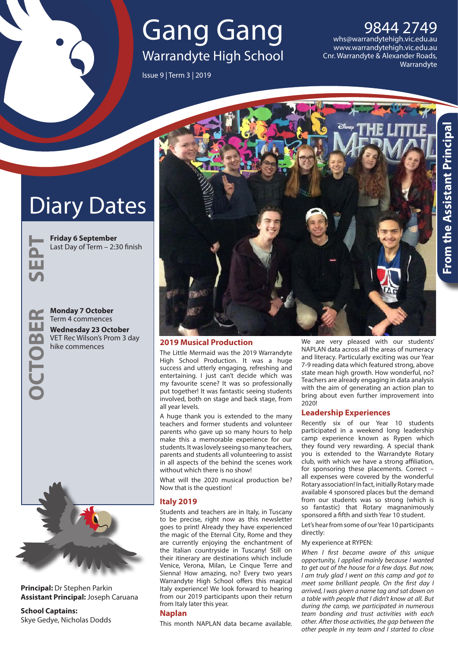# Gang Gang Warrandyte High School

Issue 9 | Term 3 | 2019

#### 9844 2749 whs@warrandytehigh.vic.edu.au www.warrandytehigh.vic.edu.au Cnr. Warrandyte & Alexander Roads, Warrandyte

# Diary Dates

**Friday 6 September**  Last Day of Term – 2:30 finish

**Monday 7 October**  Term 4 commences **Wednesday 23 October**  VET Rec Wilson's Prom 3 day hike commences

**OCTOBER**

Œ

**SEPT**



**Principal:** Dr Stephen Parkin **Assistant Principal:** Joseph Caruana

**School Captains:** Skye Gedye, Nicholas Dodds



# **2019 Musical Production**

The Little Mermaid was the 2019 Warrandyte High School Production. It was a huge success and utterly engaging, refreshing and entertaining. I just can't decide which was my favourite scene? It was so professionally put together! It was fantastic seeing students involved, both on stage and back stage, from all year levels.

A huge thank you is extended to the many teachers and former students and volunteer parents who gave up so many hours to help make this a memorable experience for our students. It was lovely seeing so many teachers, parents and students all volunteering to assist in all aspects of the behind the scenes work without which there is no show!

What will the 2020 musical production be? Now that is the question!

## **Italy 2019**

Students and teachers are in Italy, in Tuscany to be precise, right now as this newsletter goes to print! Already they have experienced the magic of the Eternal City, Rome and they are currently enjoying the enchantment of the Italian countryside in Tuscany! Still on their itinerary are destinations which include Venice, Verona, Milan, Le Cinque Terre and Sienna! How amazing, no? Every two years Warrandyte High School offers this magical Italy experience! We look forward to hearing from our 2019 participants upon their return from Italy later this year.

#### **Naplan**

This month NAPLAN data became available.

We are very pleased with our students' NAPLAN data across all the areas of numeracy and literacy. Particularly exciting was our Year 7-9 reading data which featured strong, above state mean high growth. How wonderful, no? Teachers are already engaging in data analysis with the aim of generating an action plan to bring about even further improvement into 2020!

#### **Leadership Experiences**

Recently six of our Year 10 students participated in a weekend long leadership camp experience known as Rypen which they found very rewarding. A special thank you is extended to the Warrandyte Rotary club, with which we have a strong affiliation, for sponsoring these placements. Correct – all expenses were covered by the wonderful Rotary association! In fact, initially Rotary made available 4 sponsored places but the demand from our students was so strong (which is so fantastic) that Rotary magnanimously sponsored a fifth and sixth Year 10 student.

Let's hear from some of our Year 10 participants directly:

#### My experience at RYPEN:

*When I first became aware of this unique opportunity, I applied mainly because I wanted to get out of the house for a few days. But now, I am truly glad I went on this camp and got to meet some brilliant people. On the first day I arrived, I was given a name tag and sat down on a table with people that I didn't know at all. But during the camp, we participated in numerous team bonding and trust activities with each other. After those activities, the gap between the other people in my team and I started to close*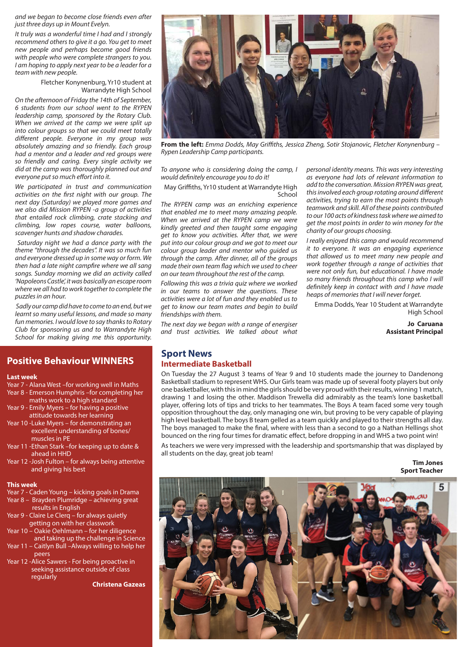*and we began to become close friends even after just three days up in Mount Evelyn.* 

*It truly was a wonderful time I had and I strongly recommend others to give it a go. You get to meet new people and perhaps become good friends with people who were complete strangers to you. I am hoping to apply next year to be a leader for a team with new people.* 

#### Fletcher Konynenburg, Yr10 student at Warrandyte High School

*On the afternoon of Friday the 14th of September, 6 students from our school went to the RYPEN leadership camp, sponsored by the Rotary Club. When we arrived at the camp we were split up into colour groups so that we could meet totally different people. Everyone in my group was absolutely amazing and so friendly. Each group had a mentor and a leader and red groups were so friendly and caring. Every single activity we did at the camp was thoroughly planned out and everyone put so much effort into it.* 

*We participated in trust and communication activities on the first night with our group. The next day (Saturday) we played more games and we also did Mission RYPEN -a group of activities that entailed rock climbing, crate stacking and climbing, low ropes course, water balloons, scavenger hunts and shadow charades.*

 *Saturday night we had a dance party with the theme "through the decades". It was so much fun and everyone dressed up in some way or form. We then had a late night campfire where we all sang songs. Sunday morning we did an activity called 'Napoleons Castle', it was basically an escape room where we all had to work together to complete the puzzles in an hour.* 

 *Sadly our camp did have to come to an end, but we learnt so many useful lessons, and made so many fun memories. I would love to say thanks to Rotary Club for sponsoring us and to Warrandyte High School for making giving me this opportunity.* 

# **Positive Behaviour WINNERS**

#### **Last week**

- Year 7 Alana West -for working well in Maths
- Year 8 Emerson Humphris –for completing her maths work to a high standard
- Year 9 Emily Myers for having a positive attitude towards her learning
- Year 10 -Luke Myers for demonstrating an excellent understanding of bones/ muscles in PE
- Year 11 -Ethan Stark –for keeping up to date & ahead in HHD
- Year 12 -Josh Fulton for always being attentive and giving his best

#### **This week**

- Year 7 Caden Young kicking goals in Drama
- Year 8 Brayden Plumridge achieving great results in English
- Year 9 Claire Le Clerq for always quietly getting on with her classwork
- Year 10 Oakie Oehlmann for her diligence and taking up the challenge in Science
- Year 11 Caitlyn Bull –Always willing to help her peers
- Year 12 -Alice Sawers For being proactive in seeking assistance outside of class regularly

**Christena Gazeas**



**From the left:** *Emma Dodds, May Griffiths, Jessica Zheng, Sotir Stojanovic, Fletcher Konynenburg – Rypen Leadership Camp participants.*

*To anyone who is considering doing the camp, I would definitely encourage you to do it!*

May Griffiths, Yr10 student at Warrandyte High School

*The RYPEN camp was an enriching experience that enabled me to meet many amazing people. When we arrived at the RYPEN camp we were kindly greeted and then taught some engaging get to know you activities. After that, we were put into our colour group and we got to meet our colour group leader and mentor who guided us through the camp. After dinner, all of the groups made their own team flag which we used to cheer on our team throughout the rest of the camp.* 

*Following this was a trivia quiz where we worked in our teams to answer the questions. These activities were a lot of fun and they enabled us to get to know our team mates and begin to build friendships with them.* 

*The next day we began with a range of energiser and trust activities. We talked about what*  *personal identity means. This was very interesting as everyone had lots of relevant information to add to the conversation. Mission RYPEN was great, this involved each group rotating around different activities, trying to earn the most points through teamwork and skill. All of these points contributed to our 100 acts of kindness task where we aimed to get the most points in order to win money for the charity of our groups choosing.*

*I really enjoyed this camp and would recommend it to everyone. It was an engaging experience that allowed us to meet many new people and work together through a range of activities that were not only fun, but educational. I have made so many friends throughout this camp who I will definitely keep in contact with and I have made heaps of memories that I will never forget.* 

Emma Dodds, Year 10 Student at Warrandyte High School

> **Jo Caruana Assistant Principal**

# **Sport News Intermediate Basketball**

On Tuesday the 27 August 3 teams of Year 9 and 10 students made the journey to Dandenong Basketball stadium to represent WHS. Our Girls team was made up of several footy players but only one basketballer, with this in mind the girls should be very proud with their results, winning 1 match, drawing 1 and losing the other. Maddison Trewella did admirably as the team's lone basketball player, offering lots of tips and tricks to her teammates. The Boys A team faced some very tough opposition throughout the day, only managing one win, but proving to be very capable of playing high level basketball. The boys B team gelled as a team quickly and played to their strengths all day. The boys managed to make the final, where with less than a second to go a Nathan Hellings shot bounced on the ring four times for dramatic effect, before dropping in and WHS a two point win! As teachers we were very impressed with the leadership and sportsmanship that was displayed by all students on the day, great job team!

> **Tim Jones Sport Teacher**

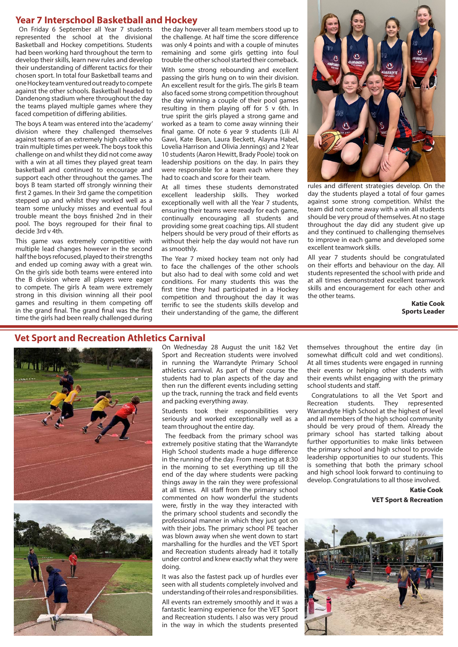## **Year 7 Interschool Basketball and Hockey**

 On Friday 6 September all Year 7 students represented the school at the divisional Basketball and Hockey competitions. Students had been working hard throughout the term to develop their skills, learn new rules and develop their understanding of different tactics for their chosen sport. In total four Basketball teams and one Hockey team ventured out ready to compete against the other schools. Basketball headed to Dandenong stadium where throughout the day the teams played multiple games where they faced competition of differing abilities.

The boys A team was entered into the 'academy' division where they challenged themselves against teams of an extremely high calibre who train multiple times per week. The boys took this challenge on and whilst they did not come away with a win at all times they played great team basketball and continued to encourage and support each other throughout the games. The boys B team started off strongly winning their first 2 games. In their 3rd game the competition stepped up and whilst they worked well as a team some unlucky misses and eventual foul trouble meant the boys finished 2nd in their pool. The boys regrouped for their final to decide 3rd v 4th.

This game was extremely competitive with multiple lead changes however in the second half the boys refocused, played to their strengths and ended up coming away with a great win. On the girls side both teams were entered into the B division where all players were eager to compete. The girls A team were extremely strong in this division winning all their pool games and resulting in them competing off in the grand final. The grand final was the first time the girls had been really challenged during

the day however all team members stood up to the challenge. At half time the score difference was only 4 points and with a couple of minutes remaining and some girls getting into foul trouble the other school started their comeback.

With some strong rebounding and excellent passing the girls hung on to win their division. An excellent result for the girls. The girls B team also faced some strong competition throughout the day winning a couple of their pool games resulting in them playing off for 5 v 6th. In true spirit the girls played a strong game and worked as a team to come away winning their final game. Of note 6 year 9 students (Lili Al Gawi, Kate Bean, Laura Beckett, Alayna Habel, Lovelia Harrison and Olivia Jennings) and 2 Year 10 students (Aaron Hewitt, Brady Poole) took on leadership positions on the day. In pairs they were responsible for a team each where they had to coach and score for their team.

At all times these students demonstrated excellent leadership skills. They worked exceptionally well with all the Year 7 students, ensuring their teams were ready for each game, continually encouraging all students and providing some great coaching tips. All student helpers should be very proud of their efforts as without their help the day would not have run as smoothly.

The Year 7 mixed hockey team not only had to face the challenges of the other schools but also had to deal with some cold and wet conditions. For many students this was the first time they had participated in a Hockey competition and throughout the day it was terrific to see the students skills develop and their understanding of the game, the different



rules and different strategies develop. On the day the students played a total of four games against some strong competition. Whilst the team did not come away with a win all students should be very proud of themselves. At no stage throughout the day did any student give up and they continued to challenging themselves to improve in each game and developed some excellent teamwork skills.

All year 7 students should be congratulated on their efforts and behaviour on the day. All students represented the school with pride and at all times demonstrated excellent teamwork skills and encouragement for each other and the other teams.

> **Katie Cook Sports Leader**

## **Vet Sport and Recreation Athletics Carnival**





On Wednesday 28 August the unit 1&2 Vet Sport and Recreation students were involved in running the Warrandyte Primary School athletics carnival. As part of their course the students had to plan aspects of the day and then run the different events including setting up the track, running the track and field events and packing everything away.

Students took their responsibilities very seriously and worked exceptionally well as a team throughout the entire day.

 The feedback from the primary school was extremely positive stating that the Warrandyte High School students made a huge difference in the running of the day. From meeting at 8:30 in the morning to set everything up till the end of the day where students were packing things away in the rain they were professional at all times. All staff from the primary school commented on how wonderful the students were, firstly in the way they interacted with the primary school students and secondly the professional manner in which they just got on with their jobs. The primary school PE teacher was blown away when she went down to start marshalling for the hurdles and the VET Sport and Recreation students already had it totally under control and knew exactly what they were doing.

It was also the fastest pack up of hurdles ever seen with all students completely involved and understanding of their roles and responsibilities. All events ran extremely smoothly and it was a fantastic learning experience for the VET Sport and Recreation students. I also was very proud in the way in which the students presented

themselves throughout the entire day (in somewhat difficult cold and wet conditions). At all times students were engaged in running their events or helping other students with their events whilst engaging with the primary school students and staff.

 Congratulations to all the Vet Sport and Recreation students. They represented Warrandyte High School at the highest of level and all members of the high school community should be very proud of them. Already the primary school has started talking about further opportunities to make links between the primary school and high school to provide leadership opportunities to our students. This is something that both the primary school and high school look forward to continuing to develop. Congratulations to all those involved.

> **Katie Cook VET Sport & Recreation**